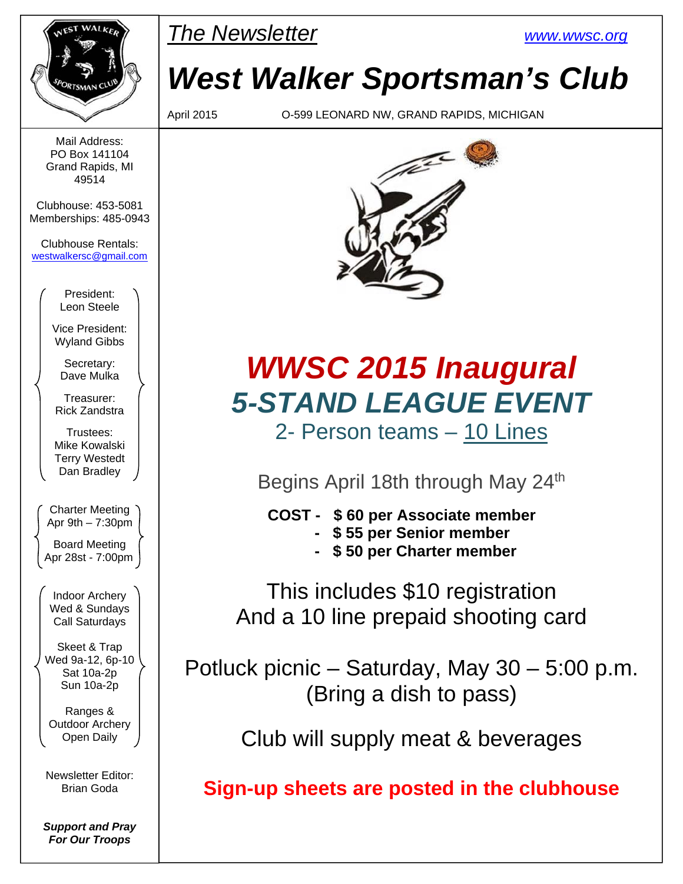| NEST WALKER    |
|----------------|
|                |
| SPORTSMAN CLUB |
|                |

Mail Address: PO Box 141104 Grand Rapids, MI 49514

Clubhouse: 453-5081 Memberships: 485-0943

Clubhouse Rentals: westwalkersc@gmail.com

> President: Leon Steele

Vice President: Wyland Gibbs

Secretary: Dave Mulka

Treasurer: Rick Zandstra

Trustees: Mike Kowalski Terry Westedt Dan Bradley

Charter Meeting Apr 9th – 7:30pm

Board Meeting Apr 28st - 7:00pm

Indoor Archery Wed & Sundays Call Saturdays

Skeet & Trap Wed 9a-12, 6p-10 Sat 10a-2p Sun 10a-2p

Ranges & Outdoor Archery Open Daily

Newsletter Editor: Brian Goda

*Support and Pray For Our Troops* 



*West Walker Sportsman's Club* 

April 2015 O-599 LEONARD NW, GRAND RAPIDS, MICHIGAN



## *WWSC 2015 Inaugural 5-STAND LEAGUE EVENT*  2- Person teams – 10 Lines

Begins April 18th through May 24<sup>th</sup>

 **COST - \$ 60 per Associate member** 

- **\$ 55 per Senior member**
- **\$ 50 per Charter member**

This includes \$10 registration And a 10 line prepaid shooting card

Potluck picnic – Saturday, May 30 – 5:00 p.m. (Bring a dish to pass)

Club will supply meat & beverages

**Sign-up sheets are posted in the clubhouse**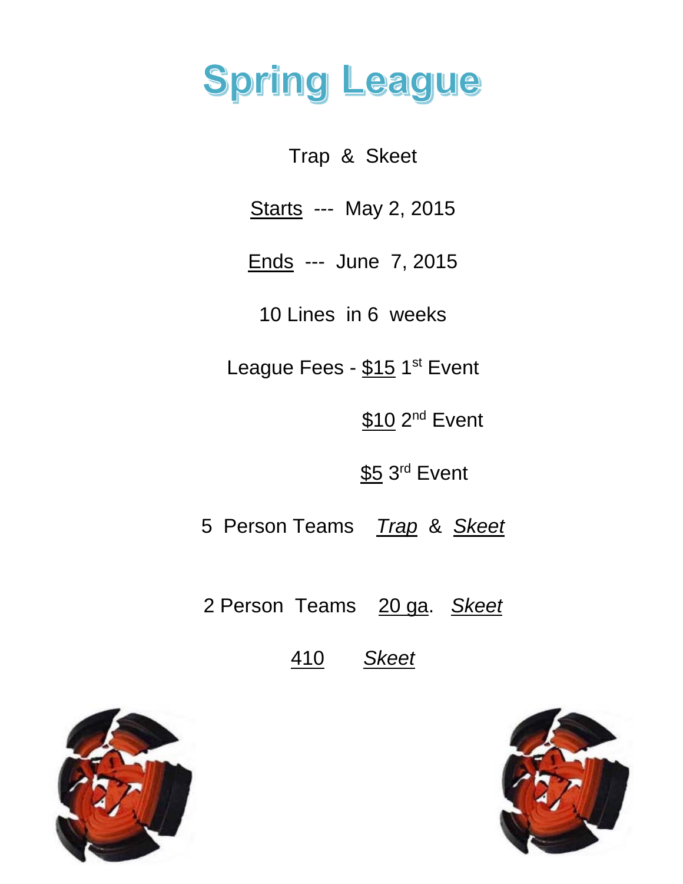# **Spring League**

Trap & Skeet

Starts --- May 2, 2015

Ends --- June 7, 2015

10 Lines in 6 weeks

League Fees - \$15 1<sup>st</sup> Event

\$10 2<sup>nd</sup> Event

\$5 3<sup>rd</sup> Event

5 Person Teams *Trap* & *Skeet* 

2 Person Teams 20 ga. *Skeet*

410 *Skeet*



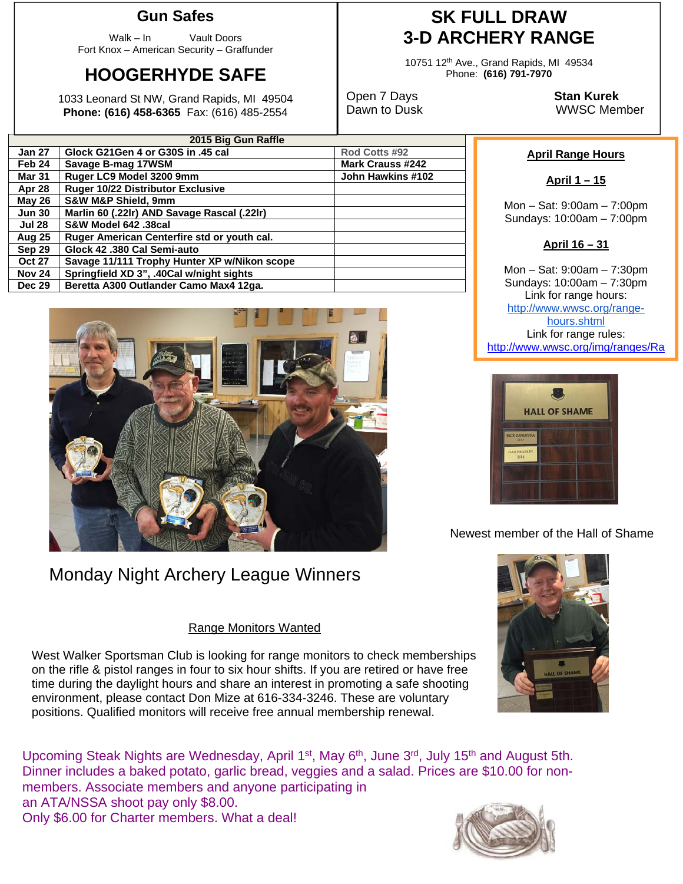#### **Gun Safes**

Walk – In Vault Doors Fort Knox – American Security – Graffunder

## **HOOGERHYDE SAFE**

1033 Leonard St NW, Grand Rapids, MI 49504 **Phone: (616) 458-6365** Fax: (616) 485-2554

### **SK FULL DRAW 3-D ARCHERY RANGE**

10751 12th Ave., Grand Rapids, MI 49534 Phone: **(616) 791-7970** 

Open 7 Days **Stan Kurek**

Dawn to Dusk WWSC Member

| 2015 Big Gun Raffle |                                              |                         |  |  |  |  |  |
|---------------------|----------------------------------------------|-------------------------|--|--|--|--|--|
| <b>Jan 27</b>       | Glock G21Gen 4 or G30S in .45 cal            | Rod Cotts #92           |  |  |  |  |  |
| Feb <sub>24</sub>   | Savage B-mag 17WSM                           | <b>Mark Crauss #242</b> |  |  |  |  |  |
| <b>Mar 31</b>       | Ruger LC9 Model 3200 9mm                     | John Hawkins #102       |  |  |  |  |  |
| Apr 28              | Ruger 10/22 Distributor Exclusive            |                         |  |  |  |  |  |
| <b>May 26</b>       | <b>S&amp;W M&amp;P Shield, 9mm</b>           |                         |  |  |  |  |  |
| <b>Jun 30</b>       | Marlin 60 (.22lr) AND Savage Rascal (.22lr)  |                         |  |  |  |  |  |
| <b>Jul 28</b>       | S&W Model 642 .38cal                         |                         |  |  |  |  |  |
| <b>Aug 25</b>       | Ruger American Centerfire std or youth cal.  |                         |  |  |  |  |  |
| Sep 29              | Glock 42 .380 Cal Semi-auto                  |                         |  |  |  |  |  |
| <b>Oct 27</b>       | Savage 11/111 Trophy Hunter XP w/Nikon scope |                         |  |  |  |  |  |
| <b>Nov 24</b>       | Springfield XD 3", .40Cal w/night sights     |                         |  |  |  |  |  |
| <b>Dec 29</b>       | Beretta A300 Outlander Camo Max4 12ga.       |                         |  |  |  |  |  |
|                     |                                              |                         |  |  |  |  |  |



## Monday Night Archery League Winners

#### Range Monitors Wanted

West Walker Sportsman Club is looking for range monitors to check memberships on the rifle & pistol ranges in four to six hour shifts. If you are retired or have free time during the daylight hours and share an interest in promoting a safe shooting environment, please contact Don Mize at 616-334-3246. These are voluntary positions. Qualified monitors will receive free annual membership renewal.

Upcoming Steak Nights are Wednesday, April 1<sup>st</sup>, May 6<sup>th</sup>, June 3<sup>rd</sup>, July 15<sup>th</sup> and August 5th. Dinner includes a baked potato, garlic bread, veggies and a salad. Prices are \$10.00 for nonmembers. Associate members and anyone participating in an ATA/NSSA shoot pay only \$8.00. Only \$6.00 for Charter members. What a deal!

#### **April Range Hours**

**April 1 – 15** 

Mon – Sat: 9:00am – 7:00pm Sundays: 10:00am – 7:00pm

#### **April 16 – 31**

Mon – Sat: 9:00am – 7:30pm Sundays: 10:00am – 7:30pm Link for range hours: http://www.wwsc.org/rangehours.shtml Link for range rules: http://www.wwsc.org/img/ranges/Ra



Newest member of the Hall of Shame